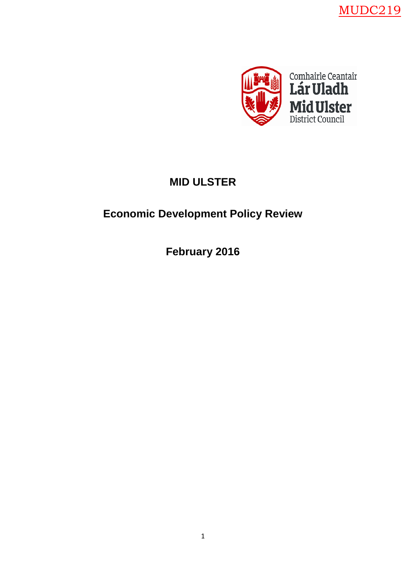MUDC219



# **MID ULSTER**

# **Economic Development Policy Review**

**February 2016**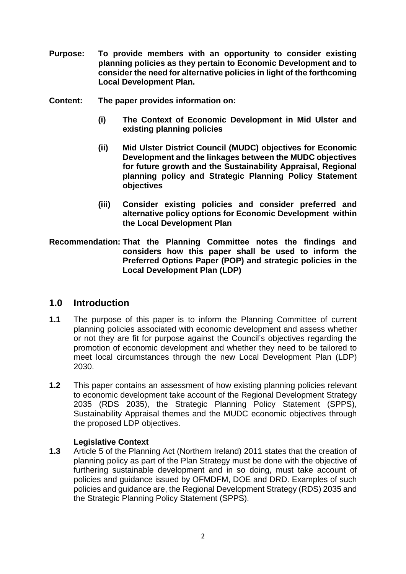- **Purpose: To provide members with an opportunity to consider existing planning policies as they pertain to Economic Development and to consider the need for alternative policies in light of the forthcoming Local Development Plan.**
- **Content: The paper provides information on:**
	- **(i) The Context of Economic Development in Mid Ulster and existing planning policies**
	- **(ii) Mid Ulster District Council (MUDC) objectives for Economic Development and the linkages between the MUDC objectives for future growth and the Sustainability Appraisal, Regional planning policy and Strategic Planning Policy Statement objectives**
	- **(iii) Consider existing policies and consider preferred and alternative policy options for Economic Development within the Local Development Plan**
- **Recommendation: That the Planning Committee notes the findings and considers how this paper shall be used to inform the Preferred Options Paper (POP) and strategic policies in the Local Development Plan (LDP)**

#### **1.0 Introduction**

- **1.1** The purpose of this paper is to inform the Planning Committee of current planning policies associated with economic development and assess whether or not they are fit for purpose against the Council's objectives regarding the promotion of economic development and whether they need to be tailored to meet local circumstances through the new Local Development Plan (LDP) 2030.
- **1.2** This paper contains an assessment of how existing planning policies relevant to economic development take account of the Regional Development Strategy 2035 (RDS 2035), the Strategic Planning Policy Statement (SPPS), Sustainability Appraisal themes and the MUDC economic objectives through the proposed LDP objectives.

#### **Legislative Context**

**1.3** Article 5 of the Planning Act (Northern Ireland) 2011 states that the creation of planning policy as part of the Plan Strategy must be done with the objective of furthering sustainable development and in so doing, must take account of policies and guidance issued by OFMDFM, DOE and DRD. Examples of such policies and guidance are, the Regional Development Strategy (RDS) 2035 and the Strategic Planning Policy Statement (SPPS).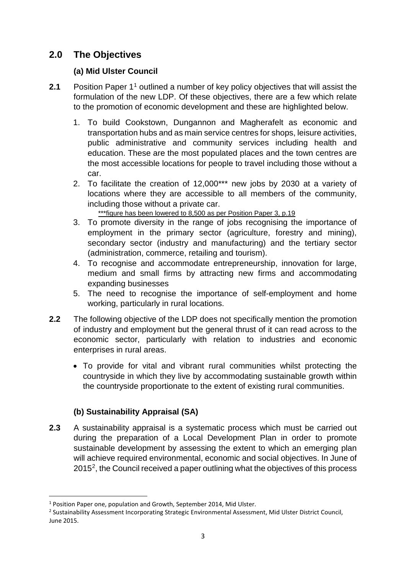# **2.0 The Objectives**

#### **(a) Mid Ulster Council**

- **2.1** Position Paper 1<sup>1</sup> outlined a number of key policy objectives that will assist the formulation of the new LDP. Of these objectives, there are a few which relate to the promotion of economic development and these are highlighted below.
	- 1. To build Cookstown, Dungannon and Magherafelt as economic and transportation hubs and as main service centres for shops, leisure activities, public administrative and community services including health and education. These are the most populated places and the town centres are the most accessible locations for people to travel including those without a car.
	- 2. To facilitate the creation of 12,000\*\*\* new jobs by 2030 at a variety of locations where they are accessible to all members of the community, including those without a private car.

\*\*\*figure has been lowered to 8,500 as per Position Paper 3, p.19

- 3. To promote diversity in the range of jobs recognising the importance of employment in the primary sector (agriculture, forestry and mining), secondary sector (industry and manufacturing) and the tertiary sector (administration, commerce, retailing and tourism).
- 4. To recognise and accommodate entrepreneurship, innovation for large, medium and small firms by attracting new firms and accommodating expanding businesses
- 5. The need to recognise the importance of self-employment and home working, particularly in rural locations.
- **2.2** The following objective of the LDP does not specifically mention the promotion of industry and employment but the general thrust of it can read across to the economic sector, particularly with relation to industries and economic enterprises in rural areas.
	- To provide for vital and vibrant rural communities whilst protecting the countryside in which they live by accommodating sustainable growth within the countryside proportionate to the extent of existing rural communities.

# **(b) Sustainability Appraisal (SA)**

**2.3** A sustainability appraisal is a systematic process which must be carried out during the preparation of a Local Development Plan in order to promote sustainable development by assessing the extent to which an emerging plan will achieve required environmental, economic and social objectives. In June of 2015[2,](#page-2-1) the Council received a paper outlining what the objectives of this process

<span id="page-2-0"></span><sup>&</sup>lt;sup>1</sup> Position Paper one, population and Growth, September 2014, Mid Ulster.

<span id="page-2-1"></span><sup>&</sup>lt;sup>2</sup> Sustainability Assessment Incorporating Strategic Environmental Assessment, Mid Ulster District Council, June 2015.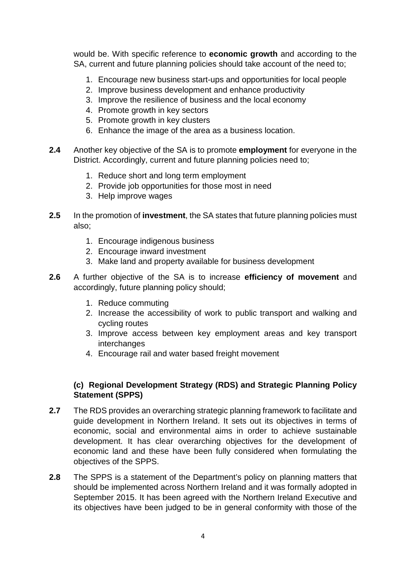would be. With specific reference to **economic growth** and according to the SA, current and future planning policies should take account of the need to;

- 1. Encourage new business start-ups and opportunities for local people
- 2. Improve business development and enhance productivity
- 3. Improve the resilience of business and the local economy
- 4. Promote growth in key sectors
- 5. Promote growth in key clusters
- 6. Enhance the image of the area as a business location.
- **2.4** Another key objective of the SA is to promote **employment** for everyone in the District. Accordingly, current and future planning policies need to;
	- 1. Reduce short and long term employment
	- 2. Provide job opportunities for those most in need
	- 3. Help improve wages
- **2.5** In the promotion of **investment**, the SA states that future planning policies must also;
	- 1. Encourage indigenous business
	- 2. Encourage inward investment
	- 3. Make land and property available for business development
- **2.6** A further objective of the SA is to increase **efficiency of movement** and accordingly, future planning policy should;
	- 1. Reduce commuting
	- 2. Increase the accessibility of work to public transport and walking and cycling routes
	- 3. Improve access between key employment areas and key transport interchanges
	- 4. Encourage rail and water based freight movement

#### **(c) Regional Development Strategy (RDS) and Strategic Planning Policy Statement (SPPS)**

- **2.7** The RDS provides an overarching strategic planning framework to facilitate and guide development in Northern Ireland. It sets out its objectives in terms of economic, social and environmental aims in order to achieve sustainable development. It has clear overarching objectives for the development of economic land and these have been fully considered when formulating the objectives of the SPPS.
- **2.8** The SPPS is a statement of the Department's policy on planning matters that should be implemented across Northern Ireland and it was formally adopted in September 2015. It has been agreed with the Northern Ireland Executive and its objectives have been judged to be in general conformity with those of the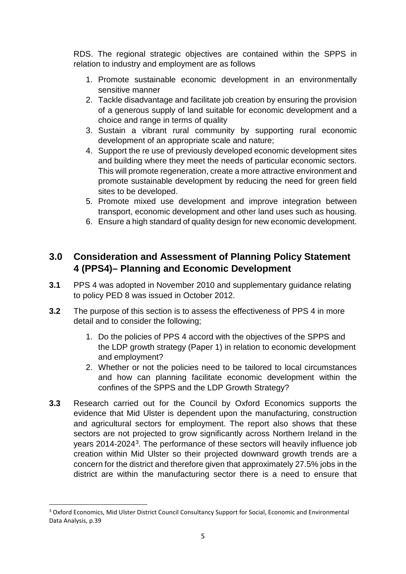RDS. The regional strategic objectives are contained within the SPPS in relation to industry and employment are as follows

- 1. Promote sustainable economic development in an environmentally sensitive manner
- 2. Tackle disadvantage and facilitate job creation by ensuring the provision of a generous supply of land suitable for economic development and a choice and range in terms of quality
- 3. Sustain a vibrant rural community by supporting rural economic development of an appropriate scale and nature;
- 4. Support the re use of previously developed economic development sites and building where they meet the needs of particular economic sectors. This will promote regeneration, create a more attractive environment and promote sustainable development by reducing the need for green field sites to be developed.
- 5. Promote mixed use development and improve integration between transport, economic development and other land uses such as housing.
- 6. Ensure a high standard of quality design for new economic development.

# **3.0 Consideration and Assessment of Planning Policy Statement 4 (PPS4)– Planning and Economic Development**

- **3.1** PPS 4 was adopted in November 2010 and supplementary guidance relating to policy PED 8 was issued in October 2012.
- **3.2** The purpose of this section is to assess the effectiveness of PPS 4 in more detail and to consider the following;
	- 1. Do the policies of PPS 4 accord with the objectives of the SPPS and the LDP growth strategy (Paper 1) in relation to economic development and employment?
	- 2. Whether or not the policies need to be tailored to local circumstances and how can planning facilitate economic development within the confines of the SPPS and the LDP Growth Strategy?
- **3.3** Research carried out for the Council by Oxford Economics supports the evidence that Mid Ulster is dependent upon the manufacturing, construction and agricultural sectors for employment. The report also shows that these sectors are not projected to grow significantly across Northern Ireland in the years 2014-2024[3](#page-4-0). The performance of these sectors will heavily influence job creation within Mid Ulster so their projected downward growth trends are a concern for the district and therefore given that approximately 27.5% jobs in the district are within the manufacturing sector there is a need to ensure that

<span id="page-4-0"></span><sup>&</sup>lt;sup>3</sup> Oxford Economics, Mid Ulster District Council Consultancy Support for Social, Economic and Environmental Data Analysis, p.39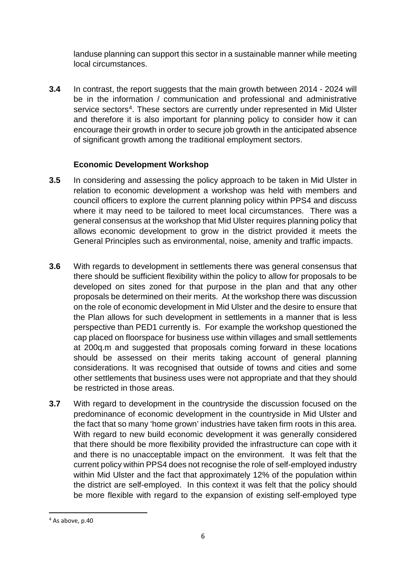landuse planning can support this sector in a sustainable manner while meeting local circumstances.

**3.4** In contrast, the report suggests that the main growth between 2014 - 2024 will be in the information / communication and professional and administrative service sectors<sup>4</sup>. These sectors are currently under represented in Mid Ulster and therefore it is also important for planning policy to consider how it can encourage their growth in order to secure job growth in the anticipated absence of significant growth among the traditional employment sectors.

## **Economic Development Workshop**

- **3.5** In considering and assessing the policy approach to be taken in Mid Ulster in relation to economic development a workshop was held with members and council officers to explore the current planning policy within PPS4 and discuss where it may need to be tailored to meet local circumstances. There was a general consensus at the workshop that Mid Ulster requires planning policy that allows economic development to grow in the district provided it meets the General Principles such as environmental, noise, amenity and traffic impacts.
- **3.6** With regards to development in settlements there was general consensus that there should be sufficient flexibility within the policy to allow for proposals to be developed on sites zoned for that purpose in the plan and that any other proposals be determined on their merits. At the workshop there was discussion on the role of economic development in Mid Ulster and the desire to ensure that the Plan allows for such development in settlements in a manner that is less perspective than PED1 currently is. For example the workshop questioned the cap placed on floorspace for business use within villages and small settlements at 200q, m and suggested that proposals coming forward in these locations should be assessed on their merits taking account of general planning considerations. It was recognised that outside of towns and cities and some other settlements that business uses were not appropriate and that they should be restricted in those areas.
- **3.7** With regard to development in the countryside the discussion focused on the predominance of economic development in the countryside in Mid Ulster and the fact that so many 'home grown' industries have taken firm roots in this area. With regard to new build economic development it was generally considered that there should be more flexibility provided the infrastructure can cope with it and there is no unacceptable impact on the environment. It was felt that the current policy within PPS4 does not recognise the role of self-employed industry within Mid Ulster and the fact that approximately 12% of the population within the district are self-employed. In this context it was felt that the policy should be more flexible with regard to the expansion of existing self-employed type

<span id="page-5-0"></span> $4$  As above, p.40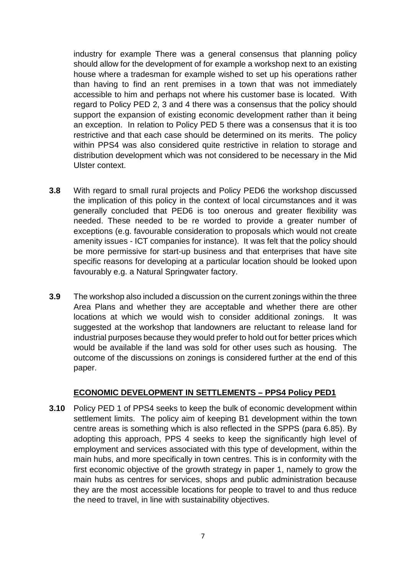industry for example There was a general consensus that planning policy should allow for the development of for example a workshop next to an existing house where a tradesman for example wished to set up his operations rather than having to find an rent premises in a town that was not immediately accessible to him and perhaps not where his customer base is located. With regard to Policy PED 2, 3 and 4 there was a consensus that the policy should support the expansion of existing economic development rather than it being an exception. In relation to Policy PED 5 there was a consensus that it is too restrictive and that each case should be determined on its merits. The policy within PPS4 was also considered quite restrictive in relation to storage and distribution development which was not considered to be necessary in the Mid Ulster context.

- **3.8** With regard to small rural projects and Policy PED6 the workshop discussed the implication of this policy in the context of local circumstances and it was generally concluded that PED6 is too onerous and greater flexibility was needed. These needed to be re worded to provide a greater number of exceptions (e.g. favourable consideration to proposals which would not create amenity issues - ICT companies for instance). It was felt that the policy should be more permissive for start-up business and that enterprises that have site specific reasons for developing at a particular location should be looked upon favourably e.g. a Natural Springwater factory.
- **3.9** The workshop also included a discussion on the current zonings within the three Area Plans and whether they are acceptable and whether there are other locations at which we would wish to consider additional zonings. It was suggested at the workshop that landowners are reluctant to release land for industrial purposes because they would prefer to hold out for better prices which would be available if the land was sold for other uses such as housing. The outcome of the discussions on zonings is considered further at the end of this paper.

#### **ECONOMIC DEVELOPMENT IN SETTLEMENTS – PPS4 Policy PED1**

**3.10** Policy PED 1 of PPS4 seeks to keep the bulk of economic development within settlement limits. The policy aim of keeping B1 development within the town centre areas is something which is also reflected in the SPPS (para 6.85). By adopting this approach, PPS 4 seeks to keep the significantly high level of employment and services associated with this type of development, within the main hubs, and more specifically in town centres. This is in conformity with the first economic objective of the growth strategy in paper 1, namely to grow the main hubs as centres for services, shops and public administration because they are the most accessible locations for people to travel to and thus reduce the need to travel, in line with sustainability objectives.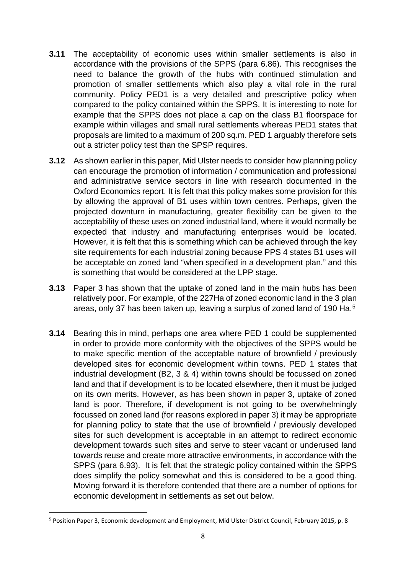- **3.11** The acceptability of economic uses within smaller settlements is also in accordance with the provisions of the SPPS (para 6.86). This recognises the need to balance the growth of the hubs with continued stimulation and promotion of smaller settlements which also play a vital role in the rural community. Policy PED1 is a very detailed and prescriptive policy when compared to the policy contained within the SPPS. It is interesting to note for example that the SPPS does not place a cap on the class B1 floorspace for example within villages and small rural settlements whereas PED1 states that proposals are limited to a maximum of 200 sq.m. PED 1 arguably therefore sets out a stricter policy test than the SPSP requires.
- **3.12** As shown earlier in this paper, Mid Ulster needs to consider how planning policy can encourage the promotion of information / communication and professional and administrative service sectors in line with research documented in the Oxford Economics report. It is felt that this policy makes some provision for this by allowing the approval of B1 uses within town centres. Perhaps, given the projected downturn in manufacturing, greater flexibility can be given to the acceptability of these uses on zoned industrial land, where it would normally be expected that industry and manufacturing enterprises would be located. However, it is felt that this is something which can be achieved through the key site requirements for each industrial zoning because PPS 4 states B1 uses will be acceptable on zoned land "when specified in a development plan." and this is something that would be considered at the LPP stage.
- **3.13** Paper 3 has shown that the uptake of zoned land in the main hubs has been relatively poor. For example, of the 227Ha of zoned economic land in the 3 plan areas, only 37 has been taken up, leaving a surplus of zoned land of 190 Ha.<sup>[5](#page-7-0)</sup>
- **3.14** Bearing this in mind, perhaps one area where PED 1 could be supplemented in order to provide more conformity with the objectives of the SPPS would be to make specific mention of the acceptable nature of brownfield / previously developed sites for economic development within towns. PED 1 states that industrial development (B2, 3 & 4) within towns should be focussed on zoned land and that if development is to be located elsewhere, then it must be judged on its own merits. However, as has been shown in paper 3, uptake of zoned land is poor. Therefore, if development is not going to be overwhelmingly focussed on zoned land (for reasons explored in paper 3) it may be appropriate for planning policy to state that the use of brownfield / previously developed sites for such development is acceptable in an attempt to redirect economic development towards such sites and serve to steer vacant or underused land towards reuse and create more attractive environments, in accordance with the SPPS (para 6.93). It is felt that the strategic policy contained within the SPPS does simplify the policy somewhat and this is considered to be a good thing. Moving forward it is therefore contended that there are a number of options for economic development in settlements as set out below.

<span id="page-7-0"></span> <sup>5</sup> Position Paper 3, Economic development and Employment, Mid Ulster District Council, February 2015, p. 8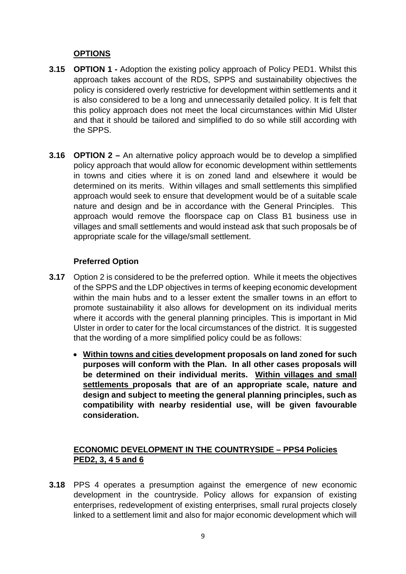## **OPTIONS**

- **3.15 OPTION 1 -** Adoption the existing policy approach of Policy PED1. Whilst this approach takes account of the RDS, SPPS and sustainability objectives the policy is considered overly restrictive for development within settlements and it is also considered to be a long and unnecessarily detailed policy. It is felt that this policy approach does not meet the local circumstances within Mid Ulster and that it should be tailored and simplified to do so while still according with the SPPS.
- **3.16 OPTION 2 –** An alternative policy approach would be to develop a simplified policy approach that would allow for economic development within settlements in towns and cities where it is on zoned land and elsewhere it would be determined on its merits. Within villages and small settlements this simplified approach would seek to ensure that development would be of a suitable scale nature and design and be in accordance with the General Principles. This approach would remove the floorspace cap on Class B1 business use in villages and small settlements and would instead ask that such proposals be of appropriate scale for the village/small settlement.

#### **Preferred Option**

- **3.17** Option 2 is considered to be the preferred option. While it meets the objectives of the SPPS and the LDP objectives in terms of keeping economic development within the main hubs and to a lesser extent the smaller towns in an effort to promote sustainability it also allows for development on its individual merits where it accords with the general planning principles. This is important in Mid Ulster in order to cater for the local circumstances of the district. It is suggested that the wording of a more simplified policy could be as follows:
	- **Within towns and cities development proposals on land zoned for such purposes will conform with the Plan. In all other cases proposals will be determined on their individual merits. Within villages and small settlements proposals that are of an appropriate scale, nature and design and subject to meeting the general planning principles, such as compatibility with nearby residential use, will be given favourable consideration.**

# **ECONOMIC DEVELOPMENT IN THE COUNTRYSIDE – PPS4 Policies PED2, 3, 4 5 and 6**

**3.18** PPS 4 operates a presumption against the emergence of new economic development in the countryside. Policy allows for expansion of existing enterprises, redevelopment of existing enterprises, small rural projects closely linked to a settlement limit and also for major economic development which will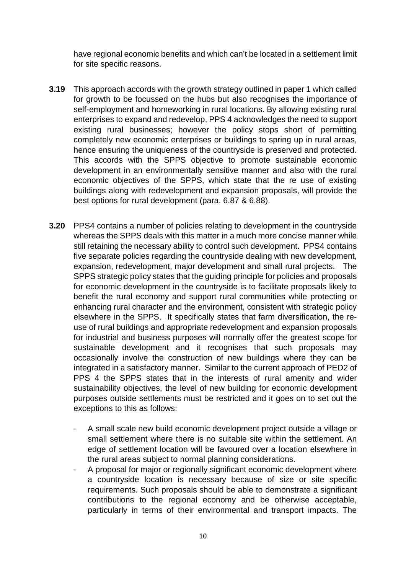have regional economic benefits and which can't be located in a settlement limit for site specific reasons.

- **3.19** This approach accords with the growth strategy outlined in paper 1 which called for growth to be focussed on the hubs but also recognises the importance of self-employment and homeworking in rural locations. By allowing existing rural enterprises to expand and redevelop, PPS 4 acknowledges the need to support existing rural businesses; however the policy stops short of permitting completely new economic enterprises or buildings to spring up in rural areas, hence ensuring the uniqueness of the countryside is preserved and protected. This accords with the SPPS objective to promote sustainable economic development in an environmentally sensitive manner and also with the rural economic objectives of the SPPS, which state that the re use of existing buildings along with redevelopment and expansion proposals, will provide the best options for rural development (para. 6.87 & 6.88).
- **3.20** PPS4 contains a number of policies relating to development in the countryside whereas the SPPS deals with this matter in a much more concise manner while still retaining the necessary ability to control such development. PPS4 contains five separate policies regarding the countryside dealing with new development, expansion, redevelopment, major development and small rural projects. The SPPS strategic policy states that the guiding principle for policies and proposals for economic development in the countryside is to facilitate proposals likely to benefit the rural economy and support rural communities while protecting or enhancing rural character and the environment, consistent with strategic policy elsewhere in the SPPS. It specifically states that farm diversification, the reuse of rural buildings and appropriate redevelopment and expansion proposals for industrial and business purposes will normally offer the greatest scope for sustainable development and it recognises that such proposals may occasionally involve the construction of new buildings where they can be integrated in a satisfactory manner. Similar to the current approach of PED2 of PPS 4 the SPPS states that in the interests of rural amenity and wider sustainability objectives, the level of new building for economic development purposes outside settlements must be restricted and it goes on to set out the exceptions to this as follows:
	- A small scale new build economic development project outside a village or small settlement where there is no suitable site within the settlement. An edge of settlement location will be favoured over a location elsewhere in the rural areas subject to normal planning considerations.
	- A proposal for major or regionally significant economic development where a countryside location is necessary because of size or site specific requirements. Such proposals should be able to demonstrate a significant contributions to the regional economy and be otherwise acceptable, particularly in terms of their environmental and transport impacts. The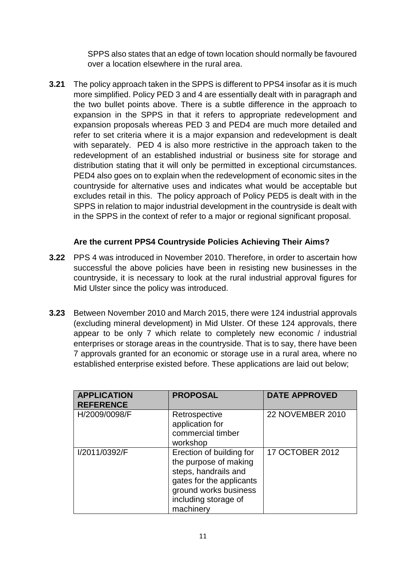SPPS also states that an edge of town location should normally be favoured over a location elsewhere in the rural area.

**3.21** The policy approach taken in the SPPS is different to PPS4 insofar as it is much more simplified. Policy PED 3 and 4 are essentially dealt with in paragraph and the two bullet points above. There is a subtle difference in the approach to expansion in the SPPS in that it refers to appropriate redevelopment and expansion proposals whereas PED 3 and PED4 are much more detailed and refer to set criteria where it is a major expansion and redevelopment is dealt with separately. PED 4 is also more restrictive in the approach taken to the redevelopment of an established industrial or business site for storage and distribution stating that it will only be permitted in exceptional circumstances. PED4 also goes on to explain when the redevelopment of economic sites in the countryside for alternative uses and indicates what would be acceptable but excludes retail in this. The policy approach of Policy PED5 is dealt with in the SPPS in relation to major industrial development in the countryside is dealt with in the SPPS in the context of refer to a major or regional significant proposal.

#### **Are the current PPS4 Countryside Policies Achieving Their Aims?**

- **3.22** PPS 4 was introduced in November 2010. Therefore, in order to ascertain how successful the above policies have been in resisting new businesses in the countryside, it is necessary to look at the rural industrial approval figures for Mid Ulster since the policy was introduced.
- **3.23** Between November 2010 and March 2015, there were 124 industrial approvals (excluding mineral development) in Mid Ulster. Of these 124 approvals, there appear to be only 7 which relate to completely new economic / industrial enterprises or storage areas in the countryside. That is to say, there have been 7 approvals granted for an economic or storage use in a rural area, where no established enterprise existed before. These applications are laid out below;

| <b>APPLICATION</b><br><b>REFERENCE</b> | <b>PROPOSAL</b>                                                                                                                                                     | <b>DATE APPROVED</b>    |
|----------------------------------------|---------------------------------------------------------------------------------------------------------------------------------------------------------------------|-------------------------|
| H/2009/0098/F                          | Retrospective<br>application for<br>commercial timber<br>workshop                                                                                                   | <b>22 NOVEMBER 2010</b> |
| I/2011/0392/F                          | Erection of building for<br>the purpose of making<br>steps, handrails and<br>gates for the applicants<br>ground works business<br>including storage of<br>machinery | 17 OCTOBER 2012         |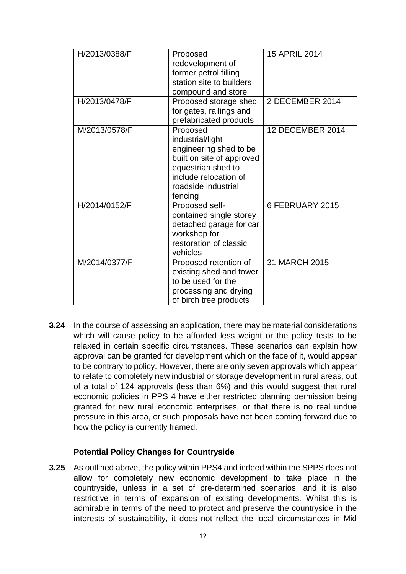| H/2013/0388/F | Proposed<br>redevelopment of<br>former petrol filling<br>station site to builders<br>compound and store                                                              | 15 APRIL 2014           |
|---------------|----------------------------------------------------------------------------------------------------------------------------------------------------------------------|-------------------------|
| H/2013/0478/F | Proposed storage shed<br>for gates, railings and<br>prefabricated products                                                                                           | 2 DECEMBER 2014         |
| M/2013/0578/F | Proposed<br>industrial/light<br>engineering shed to be<br>built on site of approved<br>equestrian shed to<br>include relocation of<br>roadside industrial<br>fencing | <b>12 DECEMBER 2014</b> |
| H/2014/0152/F | Proposed self-<br>contained single storey<br>detached garage for car<br>workshop for<br>restoration of classic<br>vehicles                                           | 6 FEBRUARY 2015         |
| M/2014/0377/F | Proposed retention of<br>existing shed and tower<br>to be used for the<br>processing and drying<br>of birch tree products                                            | 31 MARCH 2015           |

**3.24** In the course of assessing an application, there may be material considerations which will cause policy to be afforded less weight or the policy tests to be relaxed in certain specific circumstances. These scenarios can explain how approval can be granted for development which on the face of it, would appear to be contrary to policy. However, there are only seven approvals which appear to relate to completely new industrial or storage development in rural areas, out of a total of 124 approvals (less than 6%) and this would suggest that rural economic policies in PPS 4 have either restricted planning permission being granted for new rural economic enterprises, or that there is no real undue pressure in this area, or such proposals have not been coming forward due to how the policy is currently framed.

#### **Potential Policy Changes for Countryside**

**3.25** As outlined above, the policy within PPS4 and indeed within the SPPS does not allow for completely new economic development to take place in the countryside, unless in a set of pre-determined scenarios, and it is also restrictive in terms of expansion of existing developments. Whilst this is admirable in terms of the need to protect and preserve the countryside in the interests of sustainability, it does not reflect the local circumstances in Mid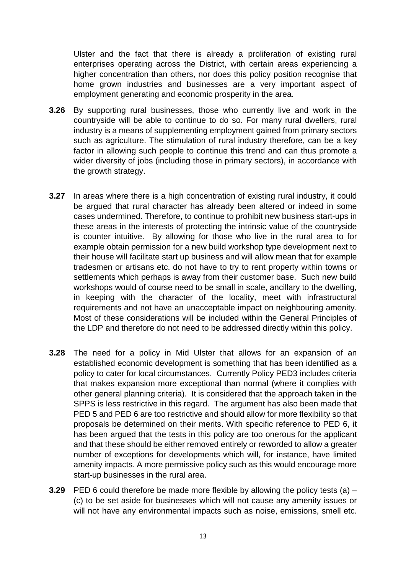Ulster and the fact that there is already a proliferation of existing rural enterprises operating across the District, with certain areas experiencing a higher concentration than others, nor does this policy position recognise that home grown industries and businesses are a very important aspect of employment generating and economic prosperity in the area.

- **3.26** By supporting rural businesses, those who currently live and work in the countryside will be able to continue to do so. For many rural dwellers, rural industry is a means of supplementing employment gained from primary sectors such as agriculture. The stimulation of rural industry therefore, can be a key factor in allowing such people to continue this trend and can thus promote a wider diversity of jobs (including those in primary sectors), in accordance with the growth strategy.
- **3.27** In areas where there is a high concentration of existing rural industry, it could be argued that rural character has already been altered or indeed in some cases undermined. Therefore, to continue to prohibit new business start-ups in these areas in the interests of protecting the intrinsic value of the countryside is counter intuitive. By allowing for those who live in the rural area to for example obtain permission for a new build workshop type development next to their house will facilitate start up business and will allow mean that for example tradesmen or artisans etc. do not have to try to rent property within towns or settlements which perhaps is away from their customer base. Such new build workshops would of course need to be small in scale, ancillary to the dwelling, in keeping with the character of the locality, meet with infrastructural requirements and not have an unacceptable impact on neighbouring amenity. Most of these considerations will be included within the General Principles of the LDP and therefore do not need to be addressed directly within this policy.
- **3.28** The need for a policy in Mid Ulster that allows for an expansion of an established economic development is something that has been identified as a policy to cater for local circumstances. Currently Policy PED3 includes criteria that makes expansion more exceptional than normal (where it complies with other general planning criteria). It is considered that the approach taken in the SPPS is less restrictive in this regard. The argument has also been made that PED 5 and PED 6 are too restrictive and should allow for more flexibility so that proposals be determined on their merits. With specific reference to PED 6, it has been argued that the tests in this policy are too onerous for the applicant and that these should be either removed entirely or reworded to allow a greater number of exceptions for developments which will, for instance, have limited amenity impacts. A more permissive policy such as this would encourage more start-up businesses in the rural area.
- **3.29** PED 6 could therefore be made more flexible by allowing the policy tests (a) (c) to be set aside for businesses which will not cause any amenity issues or will not have any environmental impacts such as noise, emissions, smell etc.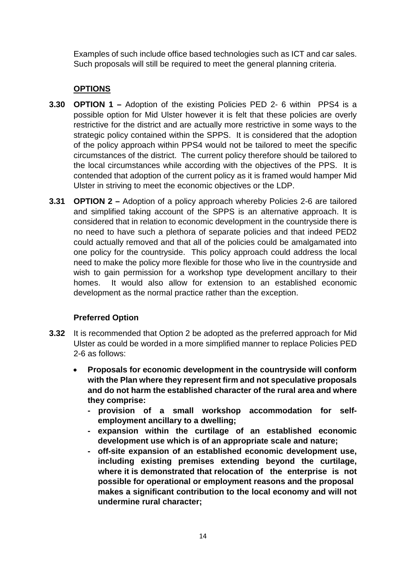Examples of such include office based technologies such as ICT and car sales. Such proposals will still be required to meet the general planning criteria.

# **OPTIONS**

- **3.30 OPTION 1 –** Adoption of the existing Policies PED 2- 6 within PPS4 is a possible option for Mid Ulster however it is felt that these policies are overly restrictive for the district and are actually more restrictive in some ways to the strategic policy contained within the SPPS. It is considered that the adoption of the policy approach within PPS4 would not be tailored to meet the specific circumstances of the district. The current policy therefore should be tailored to the local circumstances while according with the objectives of the PPS. It is contended that adoption of the current policy as it is framed would hamper Mid Ulster in striving to meet the economic objectives or the LDP.
- **3.31 OPTION 2 –** Adoption of a policy approach whereby Policies 2-6 are tailored and simplified taking account of the SPPS is an alternative approach. It is considered that in relation to economic development in the countryside there is no need to have such a plethora of separate policies and that indeed PED2 could actually removed and that all of the policies could be amalgamated into one policy for the countryside. This policy approach could address the local need to make the policy more flexible for those who live in the countryside and wish to gain permission for a workshop type development ancillary to their homes. It would also allow for extension to an established economic development as the normal practice rather than the exception.

#### **Preferred Option**

- **3.32** It is recommended that Option 2 be adopted as the preferred approach for Mid Ulster as could be worded in a more simplified manner to replace Policies PED 2-6 as follows:
	- **Proposals for economic development in the countryside will conform with the Plan where they represent firm and not speculative proposals and do not harm the established character of the rural area and where they comprise:**
		- **- provision of a small workshop accommodation for selfemployment ancillary to a dwelling;**
		- **- expansion within the curtilage of an established economic development use which is of an appropriate scale and nature;**
		- **- off-site expansion of an established economic development use, including existing premises extending beyond the curtilage, where it is demonstrated that relocation of the enterprise is not possible for operational or employment reasons and the proposal makes a significant contribution to the local economy and will not undermine rural character;**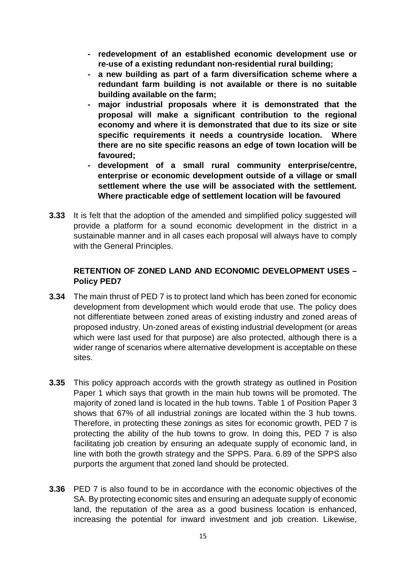- **- redevelopment of an established economic development use or re-use of a existing redundant non-residential rural building;**
- **- a new building as part of a farm diversification scheme where a redundant farm building is not available or there is no suitable building available on the farm;**
- **- major industrial proposals where it is demonstrated that the proposal will make a significant contribution to the regional economy and where it is demonstrated that due to its size or site specific requirements it needs a countryside location. Where there are no site specific reasons an edge of town location will be favoured;**
- **- development of a small rural community enterprise/centre, enterprise or economic development outside of a village or small settlement where the use will be associated with the settlement. Where practicable edge of settlement location will be favoured**
- **3.33** It is felt that the adoption of the amended and simplified policy suggested will provide a platform for a sound economic development in the district in a sustainable manner and in all cases each proposal will always have to comply with the General Principles.

#### **RETENTION OF ZONED LAND AND ECONOMIC DEVELOPMENT USES – Policy PED7**

- **3.34** The main thrust of PED 7 is to protect land which has been zoned for economic development from development which would erode that use. The policy does not differentiate between zoned areas of existing industry and zoned areas of proposed industry. Un-zoned areas of existing industrial development (or areas which were last used for that purpose) are also protected, although there is a wider range of scenarios where alternative development is acceptable on these sites.
- **3.35** This policy approach accords with the growth strategy as outlined in Position Paper 1 which says that growth in the main hub towns will be promoted. The majority of zoned land is located in the hub towns. Table 1 of Position Paper 3 shows that 67% of all industrial zonings are located within the 3 hub towns. Therefore, in protecting these zonings as sites for economic growth, PED 7 is protecting the ability of the hub towns to grow. In doing this, PED 7 is also facilitating job creation by ensuring an adequate supply of economic land, in line with both the growth strategy and the SPPS. Para. 6.89 of the SPPS also purports the argument that zoned land should be protected.
- **3.36** PED 7 is also found to be in accordance with the economic objectives of the SA. By protecting economic sites and ensuring an adequate supply of economic land, the reputation of the area as a good business location is enhanced, increasing the potential for inward investment and job creation. Likewise,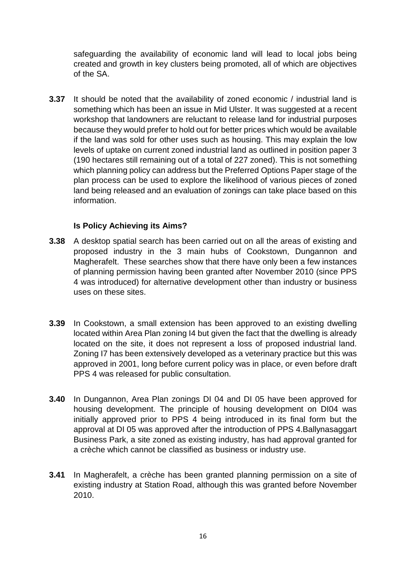safeguarding the availability of economic land will lead to local jobs being created and growth in key clusters being promoted, all of which are objectives of the SA.

**3.37** It should be noted that the availability of zoned economic / industrial land is something which has been an issue in Mid Ulster. It was suggested at a recent workshop that landowners are reluctant to release land for industrial purposes because they would prefer to hold out for better prices which would be available if the land was sold for other uses such as housing. This may explain the low levels of uptake on current zoned industrial land as outlined in position paper 3 (190 hectares still remaining out of a total of 227 zoned). This is not something which planning policy can address but the Preferred Options Paper stage of the plan process can be used to explore the likelihood of various pieces of zoned land being released and an evaluation of zonings can take place based on this information.

#### **Is Policy Achieving its Aims?**

- **3.38** A desktop spatial search has been carried out on all the areas of existing and proposed industry in the 3 main hubs of Cookstown, Dungannon and Magherafelt. These searches show that there have only been a few instances of planning permission having been granted after November 2010 (since PPS 4 was introduced) for alternative development other than industry or business uses on these sites.
- **3.39** In Cookstown, a small extension has been approved to an existing dwelling located within Area Plan zoning I4 but given the fact that the dwelling is already located on the site, it does not represent a loss of proposed industrial land. Zoning I7 has been extensively developed as a veterinary practice but this was approved in 2001, long before current policy was in place, or even before draft PPS 4 was released for public consultation.
- **3.40** In Dungannon, Area Plan zonings DI 04 and DI 05 have been approved for housing development. The principle of housing development on DI04 was initially approved prior to PPS 4 being introduced in its final form but the approval at DI 05 was approved after the introduction of PPS 4.Ballynasaggart Business Park, a site zoned as existing industry, has had approval granted for a crèche which cannot be classified as business or industry use.
- **3.41** In Magherafelt, a crèche has been granted planning permission on a site of existing industry at Station Road, although this was granted before November 2010.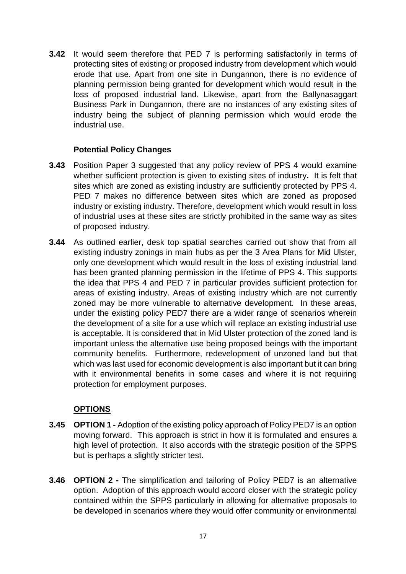**3.42** It would seem therefore that PED 7 is performing satisfactorily in terms of protecting sites of existing or proposed industry from development which would erode that use. Apart from one site in Dungannon, there is no evidence of planning permission being granted for development which would result in the loss of proposed industrial land. Likewise, apart from the Ballynasaggart Business Park in Dungannon, there are no instances of any existing sites of industry being the subject of planning permission which would erode the industrial use.

#### **Potential Policy Changes**

- **3.43** Position Paper 3 suggested that any policy review of PPS 4 would examine whether sufficient protection is given to existing sites of industry**.** It is felt that sites which are zoned as existing industry are sufficiently protected by PPS 4. PED 7 makes no difference between sites which are zoned as proposed industry or existing industry. Therefore, development which would result in loss of industrial uses at these sites are strictly prohibited in the same way as sites of proposed industry.
- **3.44** As outlined earlier, desk top spatial searches carried out show that from all existing industry zonings in main hubs as per the 3 Area Plans for Mid Ulster, only one development which would result in the loss of existing industrial land has been granted planning permission in the lifetime of PPS 4. This supports the idea that PPS 4 and PED 7 in particular provides sufficient protection for areas of existing industry. Areas of existing industry which are not currently zoned may be more vulnerable to alternative development. In these areas, under the existing policy PED7 there are a wider range of scenarios wherein the development of a site for a use which will replace an existing industrial use is acceptable. It is considered that in Mid Ulster protection of the zoned land is important unless the alternative use being proposed beings with the important community benefits. Furthermore, redevelopment of unzoned land but that which was last used for economic development is also important but it can bring with it environmental benefits in some cases and where it is not requiring protection for employment purposes.

#### **OPTIONS**

- **3.45 OPTION 1 -** Adoption of the existing policy approach of Policy PED7 is an option moving forward. This approach is strict in how it is formulated and ensures a high level of protection. It also accords with the strategic position of the SPPS but is perhaps a slightly stricter test.
- **3.46 OPTION 2 -** The simplification and tailoring of Policy PED7 is an alternative option. Adoption of this approach would accord closer with the strategic policy contained within the SPPS particularly in allowing for alternative proposals to be developed in scenarios where they would offer community or environmental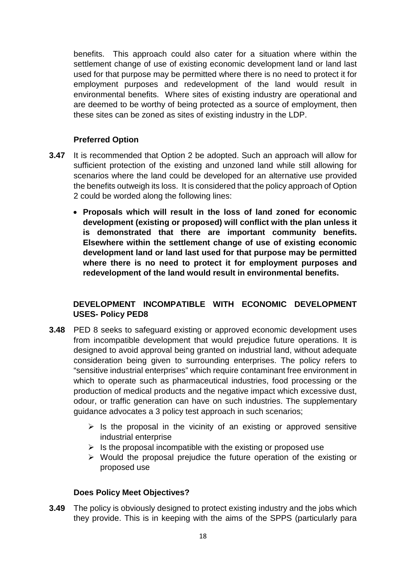benefits. This approach could also cater for a situation where within the settlement change of use of existing economic development land or land last used for that purpose may be permitted where there is no need to protect it for employment purposes and redevelopment of the land would result in environmental benefits. Where sites of existing industry are operational and are deemed to be worthy of being protected as a source of employment, then these sites can be zoned as sites of existing industry in the LDP.

## **Preferred Option**

- **3.47** It is recommended that Option 2 be adopted. Such an approach will allow for sufficient protection of the existing and unzoned land while still allowing for scenarios where the land could be developed for an alternative use provided the benefits outweigh its loss. It is considered that the policy approach of Option 2 could be worded along the following lines:
	- **Proposals which will result in the loss of land zoned for economic development (existing or proposed) will conflict with the plan unless it is demonstrated that there are important community benefits. Elsewhere within the settlement change of use of existing economic development land or land last used for that purpose may be permitted where there is no need to protect it for employment purposes and redevelopment of the land would result in environmental benefits.**

## **DEVELOPMENT INCOMPATIBLE WITH ECONOMIC DEVELOPMENT USES- Policy PED8**

- **3.48** PED 8 seeks to safeguard existing or approved economic development uses from incompatible development that would prejudice future operations. It is designed to avoid approval being granted on industrial land, without adequate consideration being given to surrounding enterprises. The policy refers to "sensitive industrial enterprises" which require contaminant free environment in which to operate such as pharmaceutical industries, food processing or the production of medical products and the negative impact which excessive dust, odour, or traffic generation can have on such industries. The supplementary guidance advocates a 3 policy test approach in such scenarios;
	- $\triangleright$  Is the proposal in the vicinity of an existing or approved sensitive industrial enterprise
	- $\triangleright$  Is the proposal incompatible with the existing or proposed use
	- $\triangleright$  Would the proposal prejudice the future operation of the existing or proposed use

#### **Does Policy Meet Objectives?**

**3.49** The policy is obviously designed to protect existing industry and the jobs which they provide. This is in keeping with the aims of the SPPS (particularly para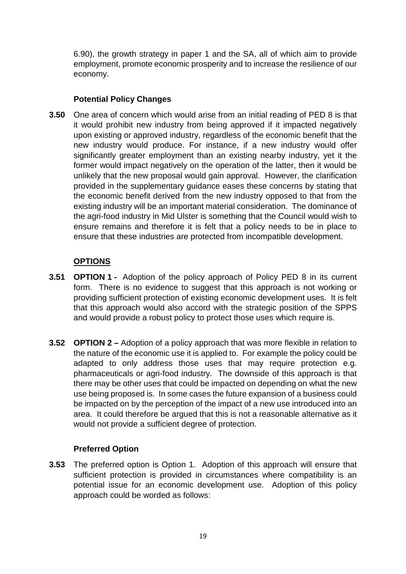6.90), the growth strategy in paper 1 and the SA, all of which aim to provide employment, promote economic prosperity and to increase the resilience of our economy.

#### **Potential Policy Changes**

**3.50** One area of concern which would arise from an initial reading of PED 8 is that it would prohibit new industry from being approved if it impacted negatively upon existing or approved industry, regardless of the economic benefit that the new industry would produce. For instance, if a new industry would offer significantly greater employment than an existing nearby industry, yet it the former would impact negatively on the operation of the latter, then it would be unlikely that the new proposal would gain approval. However, the clarification provided in the supplementary guidance eases these concerns by stating that the economic benefit derived from the new industry opposed to that from the existing industry will be an important material consideration. The dominance of the agri-food industry in Mid Ulster is something that the Council would wish to ensure remains and therefore it is felt that a policy needs to be in place to ensure that these industries are protected from incompatible development.

## **OPTIONS**

- **3.51 OPTION 1 -** Adoption of the policy approach of Policy PED 8 in its current form. There is no evidence to suggest that this approach is not working or providing sufficient protection of existing economic development uses. It is felt that this approach would also accord with the strategic position of the SPPS and would provide a robust policy to protect those uses which require is.
- **3.52 OPTION 2 –** Adoption of a policy approach that was more flexible in relation to the nature of the economic use it is applied to. For example the policy could be adapted to only address those uses that may require protection e.g. pharmaceuticals or agri-food industry. The downside of this approach is that there may be other uses that could be impacted on depending on what the new use being proposed is. In some cases the future expansion of a business could be impacted on by the perception of the impact of a new use introduced into an area. It could therefore be argued that this is not a reasonable alternative as it would not provide a sufficient degree of protection.

#### **Preferred Option**

**3.53** The preferred option is Option 1. Adoption of this approach will ensure that sufficient protection is provided in circumstances where compatibility is an potential issue for an economic development use. Adoption of this policy approach could be worded as follows: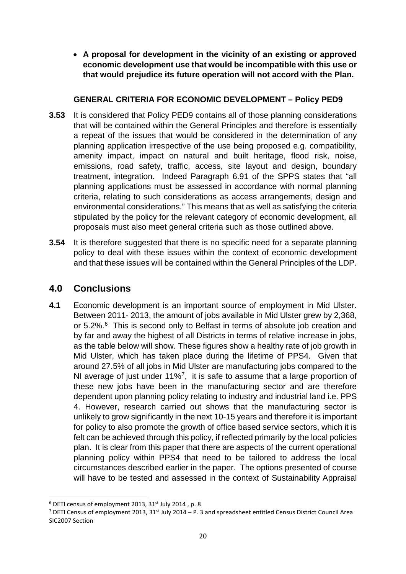• **A proposal for development in the vicinity of an existing or approved economic development use that would be incompatible with this use or that would prejudice its future operation will not accord with the Plan.**

#### **GENERAL CRITERIA FOR ECONOMIC DEVELOPMENT – Policy PED9**

- **3.53** It is considered that Policy PED9 contains all of those planning considerations that will be contained within the General Principles and therefore is essentially a repeat of the issues that would be considered in the determination of any planning application irrespective of the use being proposed e.g. compatibility, amenity impact, impact on natural and built heritage, flood risk, noise, emissions, road safety, traffic, access, site layout and design, boundary treatment, integration. Indeed Paragraph 6.91 of the SPPS states that "all planning applications must be assessed in accordance with normal planning criteria, relating to such considerations as access arrangements, design and environmental considerations." This means that as well as satisfying the criteria stipulated by the policy for the relevant category of economic development, all proposals must also meet general criteria such as those outlined above.
- **3.54** It is therefore suggested that there is no specific need for a separate planning policy to deal with these issues within the context of economic development and that these issues will be contained within the General Principles of the LDP.

# **4.0 Conclusions**

**4.1** Economic development is an important source of employment in Mid Ulster. Between 2011- 2013, the amount of jobs available in Mid Ulster grew by 2,368, or 5.2%. [6](#page-19-0) This is second only to Belfast in terms of absolute job creation and by far and away the highest of all Districts in terms of relative increase in jobs, as the table below will show. These figures show a healthy rate of job growth in Mid Ulster, which has taken place during the lifetime of PPS4. Given that around 27.5% of all jobs in Mid Ulster are manufacturing jobs compared to the NI average of just under 11%<sup>7</sup>, it is safe to assume that a large proportion of these new jobs have been in the manufacturing sector and are therefore dependent upon planning policy relating to industry and industrial land i.e. PPS 4. However, research carried out shows that the manufacturing sector is unlikely to grow significantly in the next 10-15 years and therefore it is important for policy to also promote the growth of office based service sectors, which it is felt can be achieved through this policy, if reflected primarily by the local policies plan. It is clear from this paper that there are aspects of the current operational planning policy within PPS4 that need to be tailored to address the local circumstances described earlier in the paper. The options presented of course will have to be tested and assessed in the context of Sustainability Appraisal

<span id="page-19-0"></span> $6$  DETI census of employment 2013, 31 $^{\text{st}}$  July 2014, p. 8

<span id="page-19-1"></span><sup>&</sup>lt;sup>7</sup> DETI Census of employment 2013, 31<sup>st</sup> July 2014 – P. 3 and spreadsheet entitled Census District Council Area SIC2007 Section